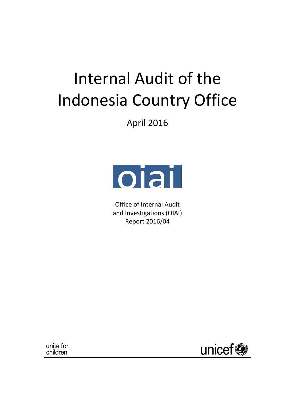# Internal Audit of the Indonesia Country Office

April 2016



Office of Internal Audit and Investigations (OIAI) Report 2016/04

unite for children

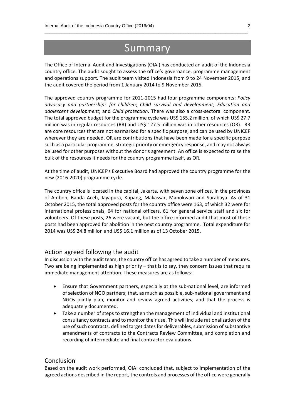## Summary

\_\_\_\_\_\_\_\_\_\_\_\_\_\_\_\_\_\_\_\_\_\_\_\_\_\_\_\_\_\_\_\_\_\_\_\_\_\_\_\_\_\_\_\_\_\_\_\_\_\_\_\_\_\_\_\_\_\_\_\_\_\_\_\_\_\_\_\_\_\_\_\_\_\_\_\_\_\_\_\_\_\_

The Office of Internal Audit and Investigations (OIAI) has conducted an audit of the Indonesia country office. The audit sought to assess the office's governance, programme management and operations support. The audit team visited Indonesia from 9 to 24 November 2015, and the audit covered the period from 1 January 2014 to 9 November 2015.

The approved country programme for 2011-2015 had four programme components: *Policy advocacy and partnerships for children*; *Child survival and development*; *Education and adolescent development*; and *Child protection*. There was also a cross-sectoral component. The total approved budget for the programme cycle was US\$ 155.2 million, of which US\$ 27.7 million was in regular resources (RR) and US\$ 127.5 million was in other resources (OR). RR are core resources that are not earmarked for a specific purpose, and can be used by UNICEF wherever they are needed. OR are contributions that have been made for a specific purpose such as a particular programme, strategic priority or emergency response, and may not always be used for other purposes without the donor's agreement. An office is expected to raise the bulk of the resources it needs for the country programme itself, as OR.

At the time of audit, UNICEF's Executive Board had approved the country programme for the new (2016-2020) programme cycle.

The country office is located in the capital, Jakarta, with seven zone offices, in the provinces of Ambon, Banda Aceh, Jayapura, Kupang, Makassar, Manokwari and Surabaya. As of 31 October 2015, the total approved posts for the country office were 163, of which 32 were for international professionals, 64 for national officers, 61 for general service staff and six for volunteers. Of these posts, 26 were vacant, but the office informed audit that most of these posts had been approved for abolition in the next country programme. Total expenditure for 2014 was US\$ 24.8 million and US\$ 16.1 million as of 13 October 2015.

### Action agreed following the audit

In discussion with the audit team, the country office has agreed to take a number of measures. Two are being implemented as high priority – that is to say, they concern issues that require immediate management attention. These measures are as follows:

- Ensure that Government partners, especially at the sub-national level, are informed of selection of NGO partners; that, as much as possible, sub-national government and NGOs jointly plan, monitor and review agreed activities; and that the process is adequately documented.
- Take a number of steps to strengthen the management of individual and institutional consultancy contracts and to monitor their use. This will include rationalization of the use of such contracts, defined target dates for deliverables, submission of substantive amendments of contracts to the Contracts Review Committee, and completion and recording of intermediate and final contractor evaluations.

### **Conclusion**

Based on the audit work performed, OIAI concluded that, subject to implementation of the agreed actions described in the report, the controls and processes of the office were generally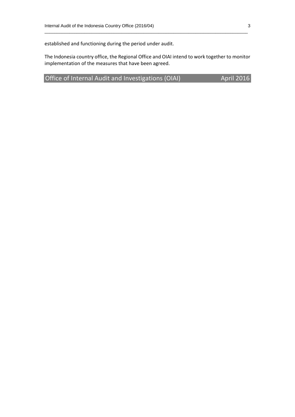established and functioning during the period under audit.

The Indonesia country office, the Regional Office and OIAI intend to work together to monitor implementation of the measures that have been agreed.

\_\_\_\_\_\_\_\_\_\_\_\_\_\_\_\_\_\_\_\_\_\_\_\_\_\_\_\_\_\_\_\_\_\_\_\_\_\_\_\_\_\_\_\_\_\_\_\_\_\_\_\_\_\_\_\_\_\_\_\_\_\_\_\_\_\_\_\_\_\_\_\_\_\_\_\_\_\_\_\_\_\_

Office of Internal Audit and Investigations (OIAI) April 2016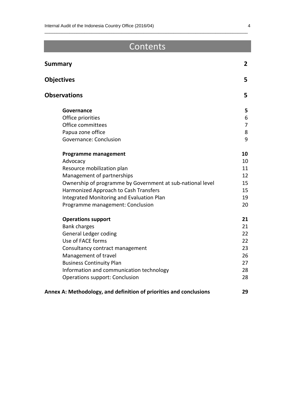# **Contents**

\_\_\_\_\_\_\_\_\_\_\_\_\_\_\_\_\_\_\_\_\_\_\_\_\_\_\_\_\_\_\_\_\_\_\_\_\_\_\_\_\_\_\_\_\_\_\_\_\_\_\_\_\_\_\_\_\_\_\_\_\_\_\_\_\_\_\_\_\_\_\_\_\_\_\_\_\_\_\_\_\_\_

| <b>Summary</b>                                                     | $\overline{2}$ |
|--------------------------------------------------------------------|----------------|
| <b>Objectives</b>                                                  | 5              |
| <b>Observations</b>                                                | 5              |
| Governance                                                         | 5              |
| Office priorities                                                  | 6              |
| Office committees                                                  | $\overline{7}$ |
| Papua zone office                                                  | 8              |
| Governance: Conclusion                                             | 9              |
| <b>Programme management</b>                                        | 10             |
| Advocacy                                                           | 10             |
| Resource mobilization plan                                         | 11             |
| Management of partnerships                                         | 12             |
| Ownership of programme by Government at sub-national level         | 15             |
| Harmonized Approach to Cash Transfers                              | 15             |
| Integrated Monitoring and Evaluation Plan                          | 19             |
| Programme management: Conclusion                                   | 20             |
| <b>Operations support</b>                                          | 21             |
| <b>Bank charges</b>                                                | 21             |
| <b>General Ledger coding</b>                                       | 22             |
| Use of FACE forms                                                  | 22             |
| Consultancy contract management                                    | 23             |
| Management of travel                                               | 26             |
| <b>Business Continuity Plan</b>                                    | 27             |
| Information and communication technology                           | 28             |
| <b>Operations support: Conclusion</b>                              | 28             |
| Annex A: Methodology, and definition of priorities and conclusions | 29             |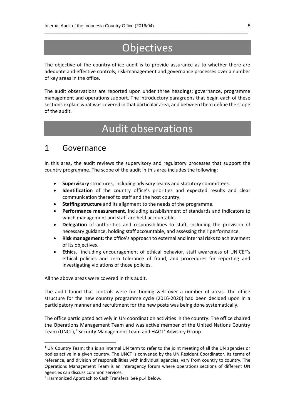# **Objectives**

\_\_\_\_\_\_\_\_\_\_\_\_\_\_\_\_\_\_\_\_\_\_\_\_\_\_\_\_\_\_\_\_\_\_\_\_\_\_\_\_\_\_\_\_\_\_\_\_\_\_\_\_\_\_\_\_\_\_\_\_\_\_\_\_\_\_\_\_\_\_\_\_\_\_\_\_\_\_\_\_\_\_

The objective of the country-office audit is to provide assurance as to whether there are adequate and effective controls, risk-management and governance processes over a number of key areas in the office.

The audit observations are reported upon under three headings; governance, programme management and operations support. The introductory paragraphs that begin each of these sections explain what was covered in that particular area, and between them define the scope of the audit.

# Audit observations

### 1 Governance

In this area, the audit reviews the supervisory and regulatory processes that support the country programme. The scope of the audit in this area includes the following:

- **Supervisory** structures, including advisory teams and statutory committees.
- **Identification** of the country office's priorities and expected results and clear communication thereof to staff and the host country.
- **Staffing structure** and its alignment to the needs of the programme.
- **Performance measurement**, including establishment of standards and indicators to which management and staff are held accountable.
- **Delegation** of authorities and responsibilities to staff, including the provision of necessary guidance, holding staff accountable, and assessing their performance.
- **Risk management**: the office's approach to external and internal risks to achievement of its objectives.
- **Ethics**, including encouragement of ethical behavior, staff awareness of UNICEF's ethical policies and zero tolerance of fraud, and procedures for reporting and investigating violations of those policies.

All the above areas were covered in this audit.

**.** 

The audit found that controls were functioning well over a number of areas. The office structure for the new country programme cycle (2016-2020) had been decided upon in a participatory manner and recruitment for the new posts was being done systematically.

The office participated actively in UN coordination activities in the country. The office chaired the Operations Management Team and was active member of the United Nations Country Team (UNCT),<sup>1</sup> Security Management Team and HACT<sup>2</sup> Advisory Group.

 $1$  UN Country Team: this is an internal UN term to refer to the joint meeting of all the UN agencies or bodies active in a given country. The UNCT is convened by the UN Resident Coordinator. Its terms of reference, and division of responsibilities with individual agencies, vary from country to country. The Operations Management Team is an interagency forum where operations sections of different UN agencies can discuss common services.

<sup>&</sup>lt;sup>2</sup> Harmonized Approach to Cash Transfers. See p14 below.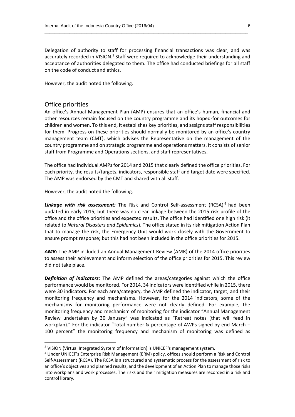Delegation of authority to staff for processing financial transactions was clear, and was accurately recorded in VISION.<sup>3</sup> Staff were required to acknowledge their understanding and acceptance of authorities delegated to them. The office had conducted briefings for all staff on the code of conduct and ethics.

\_\_\_\_\_\_\_\_\_\_\_\_\_\_\_\_\_\_\_\_\_\_\_\_\_\_\_\_\_\_\_\_\_\_\_\_\_\_\_\_\_\_\_\_\_\_\_\_\_\_\_\_\_\_\_\_\_\_\_\_\_\_\_\_\_\_\_\_\_\_\_\_\_\_\_\_\_\_\_\_\_\_

However, the audit noted the following.

### Office priorities

**.** 

An office's Annual Management Plan (AMP) ensures that an office's human, financial and other resources remain focused on the country programme and its hoped-for outcomes for children and women. To this end, it establishes key priorities, and assigns staff responsibilities for them. Progress on these priorities should normally be monitored by an office's country management team (CMT), which advises the Representative on the management of the country programme and on strategic programme and operations matters. It consists of senior staff from Programme and Operations sections, and staff representatives.

The office had individual AMPs for 2014 and 2015 that clearly defined the office priorities. For each priority, the results/targets, indicators, responsible staff and target date were specified. The AMP was endorsed by the CMT and shared with all staff.

However, the audit noted the following.

*Linkage with risk assessment:* The Risk and Control Self-assessment (RCSA) <sup>4</sup> had been updated in early 2015, but there was no clear linkage between the 2015 risk profile of the office and the office priorities and expected results. The office had identified one high risk (it related to *Natural Disasters and Epidemics*). The office stated in its risk mitigation Action Plan that to manage the risk, the Emergency Unit would work closely with the Government to ensure prompt response; but this had not been included in the office priorities for 2015.

*AMR:* The AMP included an Annual Management Review (AMR) of the 2014 office priorities to assess their achievement and inform selection of the office priorities for 2015. This review did not take place.

*Definition of indicators:* The AMP defined the areas/categories against which the office performance would be monitored. For 2014, 34 indicators were identified while in 2015, there were 30 indicators. For each area/category, the AMP defined the indicator, target, and their monitoring frequency and mechanisms. However, for the 2014 indicators, some of the mechanisms for monitoring performance were not clearly defined. For example, the monitoring frequency and mechanism of monitoring for the indicator "Annual Management Review undertaken by 30 January" was indicated as "Retreat notes (that will feed in workplan)." For the indicator "Total number & percentage of AWPs signed by end March – 100 percent" the monitoring frequency and mechanism of monitoring was defined as

<sup>&</sup>lt;sup>3</sup> VISION (Virtual Integrated System of Information) is UNICEF's management system.

<sup>4</sup> Under UNICEF's Enterprise Risk Management (ERM) policy, offices should perform a Risk and Control Self-Assessment (RCSA). The RCSA is a structured and systematic process for the assessment of risk to an office's objectives and planned results, and the development of an Action Plan to manage those risks into workplans and work processes. The risks and their mitigation measures are recorded in a risk and control library.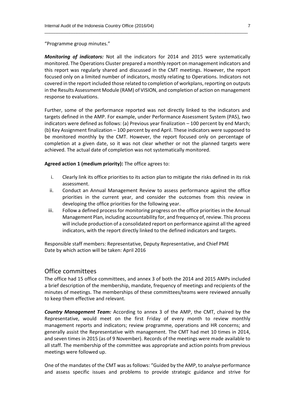"Programme group minutes."

*Monitoring of indicators:* Not all the indicators for 2014 and 2015 were systematically monitored. The Operations Cluster prepared a monthly report on management indicators and this report was regularly shared and discussed in the CMT meetings. However, the report focused only on a limited number of indicators, mostly relating to Operations. Indicators not covered in the report included those related to completion of workplans, reporting on outputs in the Results Assessment Module (RAM) of VISION, and completion of action on management response to evaluations.

\_\_\_\_\_\_\_\_\_\_\_\_\_\_\_\_\_\_\_\_\_\_\_\_\_\_\_\_\_\_\_\_\_\_\_\_\_\_\_\_\_\_\_\_\_\_\_\_\_\_\_\_\_\_\_\_\_\_\_\_\_\_\_\_\_\_\_\_\_\_\_\_\_\_\_\_\_\_\_\_\_\_

Further, some of the performance reported was not directly linked to the indicators and targets defined in the AMP. For example, under Performance Assessment System (PAS), two indicators were defined as follows: (a) Previous year finalization – 100 percent by end March; (b) Key Assignment finalization – 100 percent by end April. These indicators were supposed to be monitored monthly by the CMT. However, the report focused only on percentage of completion at a given date, so it was not clear whether or not the planned targets were achieved. The actual date of completion was not systematically monitored.

**Agreed action 1 (medium priority):** The office agrees to:

- i. Clearly link its office priorities to its action plan to mitigate the risks defined in its risk assessment.
- ii. Conduct an Annual Management Review to assess performance against the office priorities in the current year, and consider the outcomes from this review in developing the office priorities for the following year.
- iii. Follow a defined process for monitoring progress on the office priorities in the Annual Management Plan, including accountability for, and frequency of, review. This process will include production of a consolidated report on performance against all the agreed indicators, with the report directly linked to the defined indicators and targets.

Responsible staff members: Representative, Deputy Representative, and Chief PME Date by which action will be taken: April 2016

### Office committees

The office had 15 office committees, and annex 3 of both the 2014 and 2015 AMPs included a brief description of the membership, mandate, frequency of meetings and recipients of the minutes of meetings. The memberships of these committees/teams were reviewed annually to keep them effective and relevant.

*Country Management Team:* According to annex 3 of the AMP, the CMT, chaired by the Representative, would meet on the first Friday of every month to review monthly management reports and indicators; review programme, operations and HR concerns; and generally assist the Representative with management. The CMT had met 10 times in 2014, and seven times in 2015 (as of 9 November). Records of the meetings were made available to all staff. The membership of the committee was appropriate and action points from previous meetings were followed up.

One of the mandates of the CMT was as follows: "Guided by the AMP, to analyse performance and assess specific issues and problems to provide strategic guidance and strive for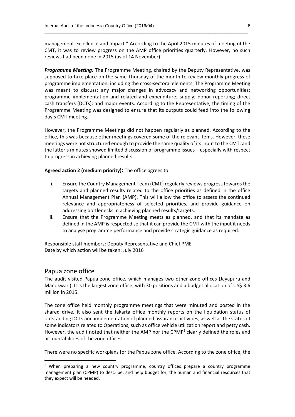management excellence and impact." According to the April 2015 minutes of meeting of the CMT, it was to review progress on the AMP office priorities quarterly. However, no such reviews had been done in 2015 (as of 14 November).

\_\_\_\_\_\_\_\_\_\_\_\_\_\_\_\_\_\_\_\_\_\_\_\_\_\_\_\_\_\_\_\_\_\_\_\_\_\_\_\_\_\_\_\_\_\_\_\_\_\_\_\_\_\_\_\_\_\_\_\_\_\_\_\_\_\_\_\_\_\_\_\_\_\_\_\_\_\_\_\_\_\_

*Programme Meeting:* The Programme Meeting, chaired by the Deputy Representative, was supposed to take place on the same Thursday of the month to review monthly progress of programme implementation, including the cross-sectoral elements. The Programme Meeting was meant to discuss: any major changes in advocacy and networking opportunities; programme implementation and related and expenditure; supply; donor reporting; direct cash transfers (DCTs); and major events. According to the Representative, the timing of the Programme Meeting was designed to ensure that its outputs could feed into the following day's CMT meeting.

However, the Programme Meetings did not happen regularly as planned. According to the office, this was because other meetings covered some of the relevant items. However, these meetings were not structured enough to provide the same quality of its input to the CMT, and the latter's minutes showed limited discussion of programme issues – especially with respect to progress in achieving planned results.

**Agreed action 2 (medium priority):** The office agrees to:

- i. Ensure the Country Management Team (CMT) regularly reviews progress towards the targets and planned results related to the office priorities as defined in the office Annual Management Plan (AMP). This will allow the office to assess the continued relevance and appropriateness of selected priorities, and provide guidance on addressing bottlenecks in achieving planned results/targets.
- ii. Ensure that the Programme Meeting meets as planned, and that its mandate as defined in the AMP is respected so that it can provide the CMT with the input it needs to analyse programme performance and provide strategic guidance as required.

Responsible staff members: Deputy Representative and Chief PME Date by which action will be taken: July 2016

### Papua zone office

**.** 

The audit visited Papua zone office, which manages two other zone offices (Jayapura and Manokwari). It is the largest zone office, with 30 positions and a budget allocation of US\$ 3.6 million in 2015.

The zone office held monthly programme meetings that were minuted and posted in the shared drive. It also sent the Jakarta office monthly reports on the liquidation status of outstanding DCTs and implementation of planned assurance activities, as well as the status of some indicators related to Operations, such as office vehicle utilization report and petty cash. However, the audit noted that neither the AMP nor the CPMP<sup>5</sup> clearly defined the roles and accountabilities of the zone offices.

There were no specific workplans for the Papua zone office. According to the zone office, the

<sup>&</sup>lt;sup>5</sup> When preparing a new country programme, country offices prepare a country programme management plan (CPMP) to describe, and help budget for, the human and financial resources that they expect will be needed.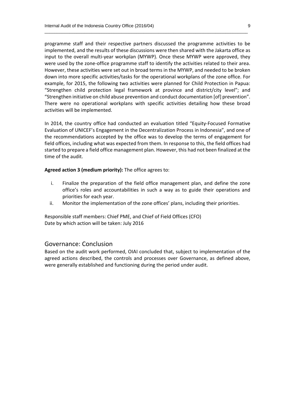programme staff and their respective partners discussed the programme activities to be implemented, and the results of these discussions were then shared with the Jakarta office as input to the overall multi-year workplan (MYWP). Once these MYWP were approved, they were used by the zone-office programme staff to identify the activities related to their area. However, these activities were set out in broad terms in the MYWP, and needed to be broken down into more specific activities/tasks for the operational workplans of the zone office. For example, for 2015, the following two activities were planned for Child Protection in Papua: "Strengthen child protection legal framework at province and district/city level"; and "Strengthen initiative on child abuse prevention and conduct documentation [of] prevention". There were no operational workplans with specific activities detailing how these broad activities will be implemented.

\_\_\_\_\_\_\_\_\_\_\_\_\_\_\_\_\_\_\_\_\_\_\_\_\_\_\_\_\_\_\_\_\_\_\_\_\_\_\_\_\_\_\_\_\_\_\_\_\_\_\_\_\_\_\_\_\_\_\_\_\_\_\_\_\_\_\_\_\_\_\_\_\_\_\_\_\_\_\_\_\_\_

In 2014, the country office had conducted an evaluation titled "Equity-Focused Formative Evaluation of UNICEF's Engagement in the Decentralization Process in Indonesia", and one of the recommendations accepted by the office was to develop the terms of engagement for field offices, including what was expected from them. In response to this, the field offices had started to prepare a field office management plan. However, this had not been finalized at the time of the audit.

#### **Agreed action 3 (medium priority):** The office agrees to:

- i. Finalize the preparation of the field office management plan, and define the zone office's roles and accountabilities in such a way as to guide their operations and priorities for each year.
- ii. Monitor the implementation of the zone offices' plans, including their priorities.

Responsible staff members: Chief PME, and Chief of Field Offices (CFO) Date by which action will be taken: July 2016

### Governance: Conclusion

Based on the audit work performed, OIAI concluded that, subject to implementation of the agreed actions described, the controls and processes over Governance, as defined above, were generally established and functioning during the period under audit.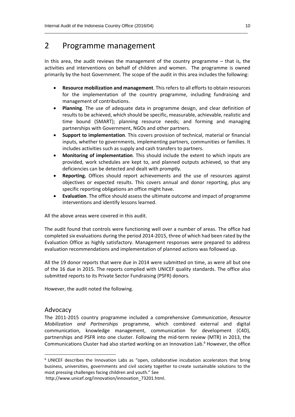### 2 Programme management

In this area, the audit reviews the management of the country programme  $-$  that is, the activities and interventions on behalf of children and women. The programme is owned primarily by the host Government. The scope of the audit in this area includes the following:

\_\_\_\_\_\_\_\_\_\_\_\_\_\_\_\_\_\_\_\_\_\_\_\_\_\_\_\_\_\_\_\_\_\_\_\_\_\_\_\_\_\_\_\_\_\_\_\_\_\_\_\_\_\_\_\_\_\_\_\_\_\_\_\_\_\_\_\_\_\_\_\_\_\_\_\_\_\_\_\_\_\_

- **Resource mobilization and management**. This refers to all efforts to obtain resources for the implementation of the country programme, including fundraising and management of contributions.
- **Planning**. The use of adequate data in programme design, and clear definition of results to be achieved, which should be specific, measurable, achievable, realistic and time bound (SMART); planning resource needs; and forming and managing partnerships with Government, NGOs and other partners.
- **Support to implementation**. This covers provision of technical, material or financial inputs, whether to governments, implementing partners, communities or families. It includes activities such as supply and cash transfers to partners.
- **Monitoring of implementation**. This should include the extent to which inputs are provided, work schedules are kept to, and planned outputs achieved, so that any deficiencies can be detected and dealt with promptly.
- **Reporting.** Offices should report achievements and the use of resources against objectives or expected results. This covers annual and donor reporting, plus any specific reporting obligations an office might have.
- **Evaluation**. The office should assess the ultimate outcome and impact of programme interventions and identify lessons learned.

All the above areas were covered in this audit.

The audit found that controls were functioning well over a number of areas. The office had completed six evaluations during the period 2014-2015, three of which had been rated by the Evaluation Office as highly satisfactory. Management responses were prepared to address evaluation recommendations and implementation of planned actions was followed up.

All the 19 donor reports that were due in 2014 were submitted on time, as were all but one of the 16 due in 2015. The reports complied with UNICEF quality standards. The office also submitted reports to its Private Sector Fundraising (PSFR) donors.

However, the audit noted the following.

### Advocacy

1

The 2011-2015 country programme included a comprehensive *Communication*, *Resource Mobilization and Partnerships* programme, which combined external and digital communication, knowledge management, communication for development (C4D), partnerships and PSFR into one cluster. Following the mid-term review (MTR) in 2013, the Communications Cluster had also started working on an Innovation Lab. <sup>6</sup> However, the office

<sup>&</sup>lt;sup>6</sup> UNICEF describes the Innovation Labs as "open, collaborative incubation accelerators that bring business, universities, governments and civil society together to create sustainable solutions to the most pressing challenges facing children and youth." See

http://www.unicef.org/innovation/innovation\_73201.html.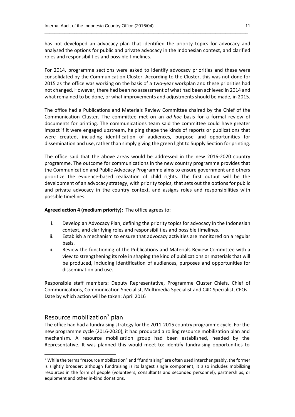has not developed an advocacy plan that identified the priority topics for advocacy and analysed the options for public and private advocacy in the Indonesian context, and clarified roles and responsibilities and possible timelines*.*

\_\_\_\_\_\_\_\_\_\_\_\_\_\_\_\_\_\_\_\_\_\_\_\_\_\_\_\_\_\_\_\_\_\_\_\_\_\_\_\_\_\_\_\_\_\_\_\_\_\_\_\_\_\_\_\_\_\_\_\_\_\_\_\_\_\_\_\_\_\_\_\_\_\_\_\_\_\_\_\_\_\_

For 2014, programme sections were asked to identify advocacy priorities and these were consolidated by the Communication Cluster. According to the Cluster, this was not done for 2015 as the office was working on the basis of a two-year workplan and these priorities had not changed. However, there had been no assessment of what had been achieved in 2014 and what remained to be done, or what improvements and adjustments should be made, in 2015.

The office had a Publications and Materials Review Committee chaired by the Chief of the Communication Cluster. The committee met on an *ad-hoc* basis for a formal review of documents for printing. The communications team said the committee could have greater impact if it were engaged upstream, helping shape the kinds of reports or publications that were created, including identification of audiences, purpose and opportunities for dissemination and use, rather than simply giving the green light to Supply Section for printing.

The office said that the above areas would be addressed in the new 2016-2020 country programme. The outcome for communications in the new country programme provides that the Communication and Public Advocacy Programme aims to ensure government and others prioritize the evidence-based realization of child rights. The first output will be the development of an advocacy strategy, with priority topics, that sets out the options for public and private advocacy in the country context, and assigns roles and responsibilities with possible timelines.

### **Agreed action 4 (medium priority):** The office agrees to:

- i. Develop an Advocacy Plan, defining the priority topics for advocacy in the Indonesian context, and clarifying roles and responsibilities and possible timelines.
- ii. Establish a mechanism to ensure that advocacy activities are monitored on a regular basis.
- iii. Review the functioning of the Publications and Materials Review Committee with a view to strengthening its role in shaping the kind of publications or materials that will be produced, including identification of audiences, purposes and opportunities for dissemination and use.

Responsible staff members: Deputy Representative, Programme Cluster Chiefs, Chief of Communications, Communication Specialist, Multimedia Specialist and C4D Specialist, CFOs Date by which action will be taken: April 2016

### Resource mobilization<sup>7</sup> plan

1

The office had had a fundraising strategy for the 2011-2015 country programme cycle. For the new programme cycle (2016-2020), it had produced a rolling resource mobilization plan and mechanism. A resource mobilization group had been established, headed by the Representative. It was planned this would meet to: identify fundraising opportunities to

 $7$  While the terms "resource mobilization" and "fundraising" are often used interchangeably, the former is slightly broader; although fundraising is its largest single component, it also includes mobilizing resources in the form of people (volunteers, consultants and seconded personnel), partnerships, or equipment and other in-kind donations.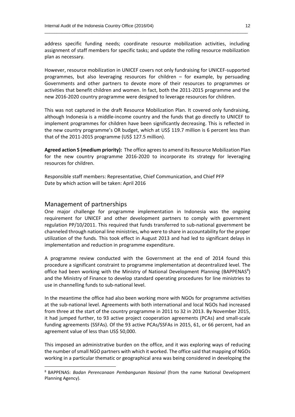address specific funding needs; coordinate resource mobilization activities, including assignment of staff members for specific tasks; and update the rolling resource mobilization plan as necessary.

 $\_$  , and the set of the set of the set of the set of the set of the set of the set of the set of the set of the set of the set of the set of the set of the set of the set of the set of the set of the set of the set of th

However, resource mobilization in UNICEF covers not only fundraising for UNICEF-supported programmes, but also leveraging resources for children – for example, by persuading Governments and other partners to devote more of their resources to programmes or activities that benefit children and women. In fact, both the 2011-2015 programme and the new 2016-2020 country programme were designed to leverage resources for children.

This was not captured in the draft Resource Mobilization Plan. It covered only fundraising, although Indonesia is a middle-income country and the funds that go directly to UNICEF to implement programmes for children have been significantly decreasing. This is reflected in the new country programme's OR budget, which at US\$ 119.7 million is 6 percent less than that of the 2011-2015 programme (US\$ 127.5 million).

**Agreed action 5 (medium priority):** The office agrees to amend its Resource Mobilization Plan for the new country programme 2016-2020 to incorporate its strategy for leveraging resources for children.

Responsible staff members: Representative, Chief Communication, and Chief PFP Date by which action will be taken: April 2016

### Management of partnerships

 $\overline{\phantom{a}}$ 

One major challenge for programme implementation in Indonesia was the ongoing requirement for UNICEF and other development partners to comply with government regulation PP/10/2011. This required that funds transferred to sub-national government be channeled through national line ministries, who were to share in accountability for the proper utilization of the funds. This took effect in August 2013 and had led to significant delays in implementation and reduction in programme expenditure.

A programme review conducted with the Government at the end of 2014 found this procedure a significant constraint to programme implementation at decentralized level. The office had been working with the Ministry of National Development Planning (BAPPENAS<sup>8</sup>) and the Ministry of Finance to develop standard operating procedures for line ministries to use in channelling funds to sub-national level.

In the meantime the office had also been working more with NGOs for programme activities at the sub-national level. Agreements with both international and local NGOs had increased from three at the start of the country programme in 2011 to 32 in 2013. By November 2015, it had jumped further, to 93 active project cooperation agreements (PCAs) and small-scale funding agreements (SSFAs). Of the 93 active PCAs/SSFAs in 2015, 61, or 66 percent, had an agreement value of less than US\$ 50,000.

This imposed an administrative burden on the office, and it was exploring ways of reducing the number of small NGO partners with which it worked. The office said that mapping of NGOs working in a particular thematic or geographical area was being considered in developing the

<sup>8</sup> BAPPENAS: *Badan Perencanaan Pembangunan Nasional* (from the name National Development Planning Agency).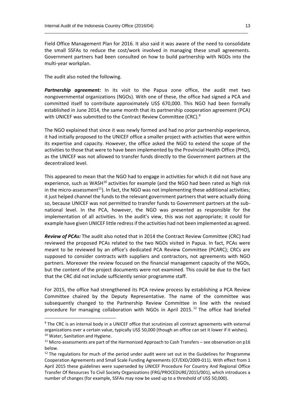Field Office Management Plan for 2016. It also said it was aware of the need to consolidate the small SSFAs to reduce the cost/work involved in managing these small agreements. Government partners had been consulted on how to build partnership with NGOs into the multi-year workplan.

 $\_$  , and the set of the set of the set of the set of the set of the set of the set of the set of the set of the set of the set of the set of the set of the set of the set of the set of the set of the set of the set of th

The audit also noted the following.

**.** 

*Partnership agreement:* In its visit to the Papua zone office, the audit met two nongovernmental organizations (NGOs). With one of these, the office had signed a PCA and committed itself to contribute approximately US\$ 670,000. This NGO had been formally established in June 2014, the same month that its partnership cooperation agreement (PCA) with UNICEF was submitted to the Contract Review Committee (CRC).<sup>9</sup>

The NGO explained that since it was newly formed and had no prior partnership experience, it had initially proposed to the UNICEF office a smaller project with activities that were within its expertise and capacity. However, the office asked the NGO to extend the scope of the activities to those that were to have been implemented by the Provincial Health Office (PHO), as the UNICEF was not allowed to transfer funds directly to the Government partners at the decentralized level.

This appeared to mean that the NGO had to engage in activities for which it did not have any experience, such as WASH<sup>10</sup> activities for example (and the NGO had been rated as high risk in the micro-assessment $^{11}$ ). In fact, the NGO was not implementing these additional activities; it just helped channel the funds to the relevant government partners that were actually doing so, because UNICEF was not permitted to transfer funds to Government partners at the subnational level. In the PCA, however, the NGO was presented as responsible for the implementation of all activities. In the audit's view, this was not appropriate; it could for example have given UNICEF little redress if the activities had not been implemented as agreed.

*Review of PCAs:* The audit also noted that in 2014 the Contract Review Committee (CRC) had reviewed the proposed PCAs related to the two NGOs visited in Papua. In fact, PCAs were meant to be reviewed by an office's dedicated PCA Review Committee (PCARC); CRCs are supposed to consider contracts with suppliers and contractors, not agreements with NGO partners. Moreover the review focused on the financial management capacity of the NGOs, but the content of the project documents were not examined. This could be due to the fact that the CRC did not include sufficiently senior programme staff.

For 2015, the office had strengthened its PCA review process by establishing a PCA Review Committee chaired by the Deputy Representative. The name of the committee was subsequently changed to the Partnership Review Committee in line with the revised procedure for managing collaboration with NGOs in April 2015.<sup>12</sup> The office had briefed

<sup>9</sup> The CRC is an internal body in a UNICEF office that scrutinizes all contract agreements with external organizations over a certain value, typically US\$ 50,000 (though an office can set it lower if it wishes). <sup>10</sup> Water, Sanitation and Hygiene.

 $11$  Micro-assessments are part of the Harmonized Approach to Cash Transfers - see observation on p16 below.

 $12$  The regulations for much of the period under audit were set out in the Guidelines for Programme Cooperation Agreements and Small Scale Funding Agreements (CF/EXD/2009-011). With effect from 1 April 2015 these guidelines were superseded by UNICEF Procedure For Country And Regional Office Transfer Of Resources To Civil Society Organizations (FRG/PROCEDURE/2015/001), which introduces a number of changes (for example, SSFAs may now be used up to a threshold of US\$ 50,000).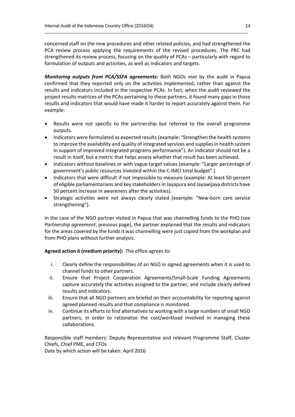concerned staff on the new procedures and other related policies, and had strengthened the PCA review process applying the requirements of the revised procedures. The PRC had strengthened its review process, focusing on the quality of PCAs – particularly with regard to formulation of outputs and activities, as well as indicators and targets.

 $\_$  , and the set of the set of the set of the set of the set of the set of the set of the set of the set of the set of the set of the set of the set of the set of the set of the set of the set of the set of the set of th

*Monitoring outputs from PCA/SSFA agreements:* Both NGOs met by the audit in Papua confirmed that they reported only on the activities implemented, rather than against the results and indicators included in the respective PCAs. In fact, when the audit reviewed the project results matrices of the PCAs pertaining to these partners, it found many gaps in those results and indicators that would have made it harder to report accurately against them. For example:

- Results were not specific to the partnership but referred to the overall programme outputs.
- Indicators were formulated as expected results (example: "Strengthen the health systems to improve the availability and quality of integrated services and supplies in health system in support of improved integrated programs performance"). An indicator should not be a result in itself, but a metric that helps assess whether that result has been achieved.
- Indicators without baselines or with vague target values (example: "Larger percentage of government's public resources invested within the C-IMCI total budget".)
- Indicators that were difficult if not impossible to measure (example: At least 50 percent of eligible parliamentarians and key stakeholders in Jayapura and Jayawijaya districts have 50 percent increase in awareness after the activities).
- Strategic activities were not always clearly stated (example: "New-born care service strengthening").

In the case of the NGO partner visited in Papua that was channelling funds to the PHO (see *Partnership agreement*, previous page), the partner explained that the results and indicators for the areas covered by the funds it was channelling were just copied from the workplan and from PHO plans without further analysis.

### **Agreed action 6 (medium priority):** The office agrees to:

- i. Clearly define the responsibilities of an NGO in signed agreements when it is used to channel funds to other partners.
- ii. Ensure that Project Cooperation Agreements/Small-Scale Funding Agreements capture accurately the activities assigned to the partner, and include clearly defined results and indicators.
- iii. Ensure that all NGO partners are briefed on their accountability for reporting against agreed planned results and that compliance is monitored.
- iv. Continue its efforts to find alternatives to working with a large numbers of small NGO partners, in order to rationalize the cost/workload involved in managing these collaborations.

Responsible staff members: Deputy Representative and relevant Programme Staff, Cluster Chiefs, Chief PME, and CFOs

Date by which action will be taken: April 2016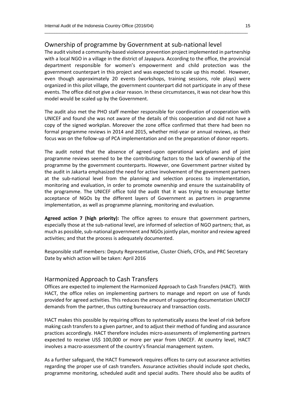### Ownership of programme by Government at sub-national level

The audit visited a community-based violence prevention project implemented in partnership with a local NGO in a village in the district of Jayapura. According to the office, the provincial department responsible for women's empowerment and child protection was the government counterpart in this project and was expected to scale up this model. However, even though approximately 20 events (workshops, training sessions, role plays) were organized in this pilot village, the government counterpart did not participate in any of these events. The office did not give a clear reason. In these circumstances, it was not clear how this model would be scaled up by the Government.

 $\_$  , and the set of the set of the set of the set of the set of the set of the set of the set of the set of the set of the set of the set of the set of the set of the set of the set of the set of the set of the set of th

The audit also met the PHO staff member responsible for coordination of cooperation with UNICEF and found she was not aware of the details of this cooperation and did not have a copy of the signed workplan. Moreover the zone office confirmed that there had been no formal programme reviews in 2014 and 2015, whether mid-year or annual reviews, as their focus was on the follow-up of PCA implementation and on the preparation of donor reports.

The audit noted that the absence of agreed-upon operational workplans and of joint programme reviews seemed to be the contributing factors to the lack of ownership of the programme by the government counterparts. However, one Government partner visited by the audit in Jakarta emphasized the need for active involvement of the government partners at the sub-national level from the planning and selection process to implementation, monitoring and evaluation, in order to promote ownership and ensure the sustainability of the programme. The UNICEF office told the audit that it was trying to encourage better acceptance of NGOs by the different layers of Government as partners in programme implementation, as well as programme planning, monitoring and evaluation.

**Agreed action 7 (high priority):** The office agrees to ensure that government partners, especially those at the sub-national level, are informed of selection of NGO partners; that, as much as possible, sub-national government and NGOs jointly plan, monitor and review agreed activities; and that the process is adequately documented.

Responsible staff members: Deputy Representative, Cluster Chiefs, CFOs, and PRC Secretary Date by which action will be taken: April 2016

### Harmonized Approach to Cash Transfers

Offices are expected to implement the Harmonized Approach to Cash Transfers (HACT). With HACT, the office relies on implementing partners to manage and report on use of funds provided for agreed activities. This reduces the amount of supporting documentation UNICEF demands from the partner, thus cutting bureaucracy and transaction costs.

HACT makes this possible by requiring offices to systematically assess the level of risk before making cash transfers to a given partner, and to adjust their method of funding and assurance practices accordingly. HACT therefore includes micro-assessments of implementing partners expected to receive US\$ 100,000 or more per year from UNICEF. At country level, HACT involves a macro-assessment of the country's financial management system.

As a further safeguard, the HACT framework requires offices to carry out assurance activities regarding the proper use of cash transfers. Assurance activities should include spot checks, programme monitoring, scheduled audit and special audits. There should also be audits of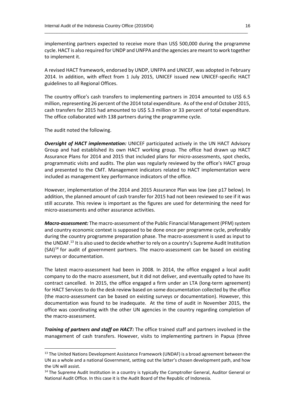implementing partners expected to receive more than US\$ 500,000 during the programme cycle. HACT is also required for UNDP and UNFPA and the agencies are meant to work together to implement it.

 $\_$  , and the set of the set of the set of the set of the set of the set of the set of the set of the set of the set of the set of the set of the set of the set of the set of the set of the set of the set of the set of th

A revised HACT framework, endorsed by UNDP, UNFPA and UNICEF, was adopted in February 2014. In addition, with effect from 1 July 2015, UNICEF issued new UNICEF-specific HACT guidelines to all Regional Offices.

The country office's cash transfers to implementing partners in 2014 amounted to US\$ 6.5 million, representing 26 percent of the 2014 total expenditure. As of the end of October 2015, cash transfers for 2015 had amounted to US\$ 5.3 million or 33 percent of total expenditure. The office collaborated with 138 partners during the programme cycle.

The audit noted the following.

**.** 

*Oversight of HACT implementation:* UNICEF participated actively in the UN HACT Advisory Group and had established its own HACT working group. The office had drawn up HACT Assurance Plans for 2014 and 2015 that included plans for micro-assessments, spot checks, programmatic visits and audits. The plan was regularly reviewed by the office's HACT group and presented to the CMT. Management indicators related to HACT implementation were included as management key performance indicators of the office.

However, implementation of the 2014 and 2015 Assurance Plan was low (see p17 below). In addition, the planned amount of cash transfer for 2015 had not been reviewed to see if it was still accurate. This review is important as the figures are used for determining the need for micro-assessments and other assurance activities.

*Macro-assessment:* The macro-assessment of the Public Financial Management (PFM) system and country economic context is supposed to be done once per programme cycle, preferably during the country programme preparation phase. The macro-assessment is used as input to the UNDAF.<sup>13</sup> It is also used to decide whether to rely on a country's Supreme Audit Institution  $(SAI)<sup>14</sup>$  for audit of government partners. The macro-assessment can be based on existing surveys or documentation.

The latest macro-assessment had been in 2008. In 2014, the office engaged a local audit company to do the macro assessment, but it did not deliver, and eventually opted to have its contract cancelled. In 2015, the office engaged a firm under an LTA (long-term agreement) for HACT Services to do the desk review based on some documentation collected by the office (the macro-assessment can be based on existing surveys or documentation). However, this documentation was found to be inadequate. At the time of audit in November 2015, the office was coordinating with the other UN agencies in the country regarding completion of the macro-assessment.

*Training of partners and staff on HACT:* The office trained staff and partners involved in the management of cash transfers. However, visits to implementing partners in Papua (three

<sup>&</sup>lt;sup>13</sup> The United Nations Development Assistance Framework (UNDAF) is a broad agreement between the UN as a whole and a national Government, setting out the latter's chosen development path, and how the UN will assist.

<sup>&</sup>lt;sup>14</sup> The Supreme Audit Institution in a country is typically the Comptroller General, Auditor General or National Audit Office. In this case it is the Audit Board of the Republic of Indonesia.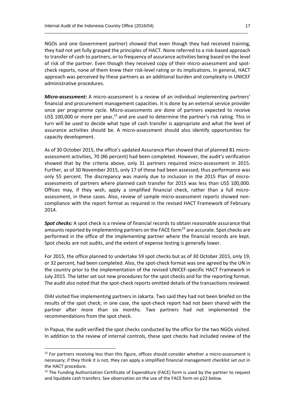NGOs and one Government partner) showed that even though they had received training, they had not yet fully grasped the principles of HACT. None referred to a risk-based approach to transfer of cash to partners, or to frequency of assurance activities being based on the level of risk of the partner. Even though they received copy of their micro-assessment and spotcheck reports, none of them knew their risk-level rating or its implications. In general, HACT approach was perceived by these partners as an additional burden and complexity in UNICEF administrative procedures.

 $\_$  , and the set of the set of the set of the set of the set of the set of the set of the set of the set of the set of the set of the set of the set of the set of the set of the set of the set of the set of the set of th

*Micro-assessment:* A micro-assessment is a review of an individual implementing partners' financial and procurement management capacities. It is done by an external service provider once per programme cycle. Micro-assessments are done of partners expected to receive US\$ 100,000 or more per year,<sup>15</sup> and are used to determine the partner's risk rating. This in turn will be used to decide what type of cash transfer is appropriate and what the level of assurance activities should be. A micro-assessment should also identify opportunities for capacity development.

As of 30 October 2015, the office's updated Assurance Plan showed that of planned 81 microassessment activities, 70 (86 percent) had been completed. However, the audit's verification showed that by the criteria above, only 31 partners required micro-assessment in 2015. Further, as of 30 November 2015, only 17 of these had been assessed; thus performance was only 55 percent. The discrepancy was mainly due to inclusion in the 2015 Plan of microassessments of partners where planned cash transfer for 2015 was less than US\$ 100,000. Offices may, if they wish, apply a simplified financial check, rather than a full microassessment, in these cases. Also, review of sample micro-assessment reports showed noncompliance with the report format as required in the revised HACT Framework of February 2014.

*Spot checks:* A spot check is a review of financial records to obtain reasonable assurance that amounts reported by implementing partners on the FACE form<sup>16</sup> are accurate. Spot checks are performed in the office of the implementing partner where the financial records are kept. Spot checks are not audits, and the extent of expense testing is generally lower.

For 2015, the office planned to undertake 59 spot checks but as of 30 October 2015, only 19, or 32 percent, had been completed. Also, the spot-check format was one agreed by the UN in the country prior to the implementation of the revised UNICEF-specific HACT Framework in July 2015. The latter set out new procedures for the spot checks and for the reporting format. The audit also noted that the spot-check reports omitted details of the transactions reviewed.

OIAI visited five implementing partners in Jakarta. Two said they had not been briefed on the results of the spot check; in one case, the spot-check report had not been shared with the partner after more than six months. Two partners had not implemented the recommendations from the spot check.

In Papua, the audit verified the spot checks conducted by the office for the two NGOs visited. In addition to the review of internal controls, these spot checks had included review of the

**.** 

<sup>&</sup>lt;sup>15</sup> For partners receiving less than this figure, offices should consider whether a micro-assessment is necessary; if they think it is not, they can apply a simplified financial management checklist set out in the HACT procedure.

<sup>&</sup>lt;sup>16</sup> The Funding Authorization Certificate of Expenditure (FACE) form is used by the partner to request and liquidate cash transfers. See observation on the use of the FACE form on p22 below.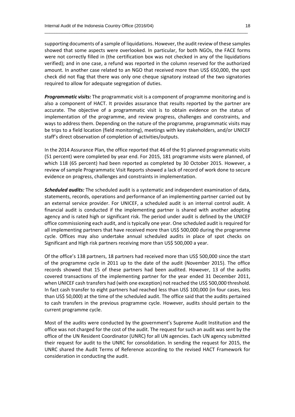supporting documents of a sample of liquidations. However, the audit review of these samples showed that some aspects were overlooked. In particular, for both NGOs, the FACE forms were not correctly filled in (the certification box was not checked in any of the liquidations verified); and in one case, a refund was reported in the column reserved for the authorized amount. In another case related to an NGO that received more than US\$ 650,000, the spot check did not flag that there was only one cheque signatory instead of the two signatories required to allow for adequate segregation of duties.

 $\_$  , and the set of the set of the set of the set of the set of the set of the set of the set of the set of the set of the set of the set of the set of the set of the set of the set of the set of the set of the set of th

*Programmatic visits:* The programmatic visit is a component of programme monitoring and is also a component of HACT. It provides assurance that results reported by the partner are accurate. The objective of a programmatic visit is to obtain evidence on the status of implementation of the programme, and review progress, challenges and constraints, and ways to address them. Depending on the nature of the programme, programmatic visits may be trips to a field location (field monitoring), meetings with key stakeholders, and/or UNICEF staff's direct observation of completion of activities/outputs.

In the 2014 Assurance Plan, the office reported that 46 of the 91 planned programmatic visits (51 percent) were completed by year end. For 2015, 181 programme visits were planned, of which 118 (65 percent) had been reported as completed by 30 October 2015. However, a review of sample Programmatic Visit Reports showed a lack of record of work done to secure evidence on progress, challenges and constraints in implementation.

*Scheduled audits:* The scheduled audit is a systematic and independent examination of data, statements, records, operations and performance of an implementing partner carried out by an external service provider. For UNICEF, a scheduled audit is an internal control audit. A financial audit is conducted if the implementing partner is shared with another adopting agency and is rated high or significant risk. The period under audit is defined by the UNICEF office commissioning each audit, and is typically one year. One scheduled audit is required for all implementing partners that have received more than US\$ 500,000 during the programme cycle. Offices may also undertake annual scheduled audits in place of spot checks on Significant and High risk partners receiving more than US\$ 500,000 a year.

Of the office's 138 partners, 18 partners had received more than US\$ 500,000 since the start of the programme cycle in 2011 up to the date of the audit (November 2015). The office records showed that 15 of these partners had been audited. However, 13 of the audits covered transactions of the implementing partner for the year ended 31 December 2011, when UNICEF cash transfers had (with one exception) not reached the US\$ 500,000 threshold. In fact cash transfer to eight partners had reached less than US\$ 100,000 (in four cases, less than US\$ 50,000) at the time of the scheduled audit. The office said that the audits pertained to cash transfers in the previous programme cycle. However, audits should pertain to the current programme cycle.

Most of the audits were conducted by the government's Supreme Audit Institution and the office was not charged for the cost of the audit. The request for such an audit was sent by the office of the UN Resident Coordinator (UNRC) for all UN agencies. Each UN agency submitted their request for audit to the UNRC for consolidation. In sending the request for 2015, the UNRC shared the Audit Terms of Reference according to the revised HACT Framework for consideration in conducting the audit.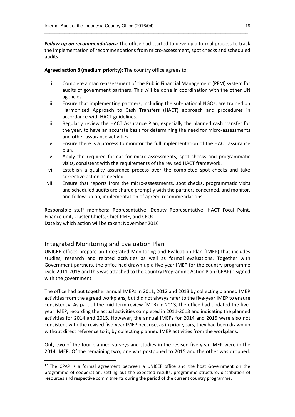*Follow-up on recommendations:* The office had started to develop a formal process to track the implementation of recommendations from micro-assessment, spot checks and scheduled audits.

 $\_$  , and the set of the set of the set of the set of the set of the set of the set of the set of the set of the set of the set of the set of the set of the set of the set of the set of the set of the set of the set of th

**Agreed action 8 (medium priority):** The country office agrees to:

- i. Complete a macro-assessment of the Public Financial Management (PFM) system for audits of government partners. This will be done in coordination with the other UN agencies.
- ii. Ensure that implementing partners, including the sub-national NGOs, are trained on Harmonized Approach to Cash Transfers (HACT) approach and procedures in accordance with HACT guidelines.
- iii. Regularly review the HACT Assurance Plan, especially the planned cash transfer for the year, to have an accurate basis for determining the need for micro-assessments and other assurance activities.
- iv. Ensure there is a process to monitor the full implementation of the HACT assurance plan.
- v. Apply the required format for micro-assessments, spot checks and programmatic visits, consistent with the requirements of the revised HACT framework.
- vi. Establish a quality assurance process over the completed spot checks and take corrective action as needed.
- vii. Ensure that reports from the micro-assessments, spot checks, programmatic visits and scheduled audits are shared promptly with the partners concerned, and monitor, and follow-up on, implementation of agreed recommendations.

Responsible staff members: Representative, Deputy Representative, HACT Focal Point, Finance unit, Cluster Chiefs, Chief PME, and CFOs Date by which action will be taken: November 2016

### Integrated Monitoring and Evaluation Plan

**.** 

UNICEF offices prepare an Integrated Monitoring and Evaluation Plan (IMEP) that includes studies, research and related activities as well as formal evaluations. Together with Government partners, the office had drawn up a five-year IMEP for the country programme cycle 2011-2015 and this was attached to the Country Programme Action Plan (CPAP)<sup>17</sup> signed with the government.

The office had put together annual IMEPs in 2011, 2012 and 2013 by collecting planned IMEP activities from the agreed workplans, but did not always refer to the five-year IMEP to ensure consistency. As part of the mid-term review (MTR) in 2013, the office had updated the fiveyear IMEP, recording the actual activities completed in 2011-2013 and indicating the planned activities for 2014 and 2015. However, the annual IMEPs for 2014 and 2015 were also not consistent with the revised five-year IMEP because, as in prior years, they had been drawn up without direct reference to it, by collecting planned IMEP activities from the workplans.

Only two of the four planned surveys and studies in the revised five-year IMEP were in the 2014 IMEP. Of the remaining two, one was postponed to 2015 and the other was dropped.

 $17$  The CPAP is a formal agreement between a UNICEF office and the host Government on the programme of cooperation, setting out the expected results, programme structure, distribution of resources and respective commitments during the period of the current country programme.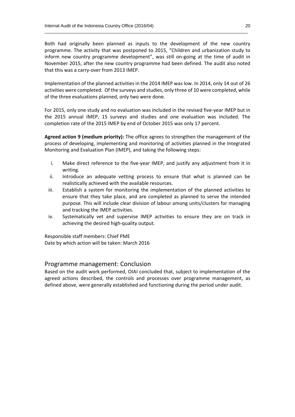Both had originally been planned as inputs to the development of the new country programme. The activity that was postponed to 2015, "Children and urbanization study to inform new country programme development", was still on-going at the time of audit in November 2015, after the new country programme had been defined. The audit also noted that this was a carry-over from 2013 IMEP.

 $\_$  , and the set of the set of the set of the set of the set of the set of the set of the set of the set of the set of the set of the set of the set of the set of the set of the set of the set of the set of the set of th

Implementation of the planned activities in the 2014 IMEP was low. In 2014, only 14 out of 26 activities were completed. Of the surveys and studies, only three of 10 were completed, while of the three evaluations planned, only two were done.

For 2015, only one study and no evaluation was included in the revised five-year IMEP but in the 2015 annual IMEP, 15 surveys and studies and one evaluation was included. The completion rate of the 2015 IMEP by end of October 2015 was only 17 percent.

**Agreed action 9 (medium priority):** The office agrees to strengthen the management of the process of developing, implementing and monitoring of activities planned in the Integrated Monitoring and Evaluation Plan (IMEP), and taking the following steps:

- i. Make direct reference to the five-year IMEP, and justify any adjustment from it in writing.
- ii. Introduce an adequate vetting process to ensure that what is planned can be realistically achieved with the available resources.
- iii. Establish a system for monitoring the implementation of the planned activities to ensure that they take place, and are completed as planned to serve the intended purpose. This will include clear division of labour among units/clusters for managing and tracking the IMEP activities.
- iv. Systematically vet and supervise IMEP activities to ensure they are on track in achieving the desired high-quality output.

Responsible staff members: Chief PME Date by which action will be taken: March 2016

### Programme management: Conclusion

Based on the audit work performed, OIAI concluded that, subject to implementation of the agreed actions described, the controls and processes over programme management, as defined above, were generally established and functioning during the period under audit.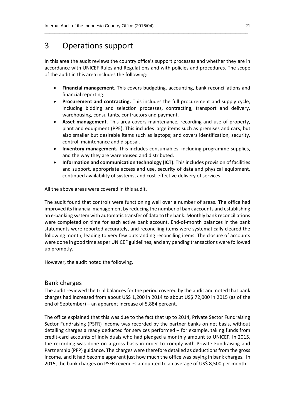### 3 Operations support

In this area the audit reviews the country office's support processes and whether they are in accordance with UNICEF Rules and Regulations and with policies and procedures. The scope of the audit in this area includes the following:

 $\_$  , and the set of the set of the set of the set of the set of the set of the set of the set of the set of the set of the set of the set of the set of the set of the set of the set of the set of the set of the set of th

- **Financial management**. This covers budgeting, accounting, bank reconciliations and financial reporting.
- **Procurement and contracting.** This includes the full procurement and supply cycle, including bidding and selection processes, contracting, transport and delivery, warehousing, consultants, contractors and payment.
- **Asset management**. This area covers maintenance, recording and use of property, plant and equipment (PPE). This includes large items such as premises and cars, but also smaller but desirable items such as laptops; and covers identification, security, control, maintenance and disposal.
- **Inventory management.** This includes consumables, including programme supplies, and the way they are warehoused and distributed.
- **Information and communication technology (ICT)**. This includes provision of facilities and support, appropriate access and use, security of data and physical equipment, continued availability of systems, and cost-effective delivery of services.

All the above areas were covered in this audit.

The audit found that controls were functioning well over a number of areas. The office had improved its financial management by reducing the number of bank accounts and establishing an e-banking system with automatic transfer of data to the bank. Monthly bank reconciliations were completed on time for each active bank account. End-of-month balances in the bank statements were reported accurately, and reconciling items were systematically cleared the following month, leading to very few outstanding reconciling items. The closure of accounts were done in good time as per UNICEF guidelines, and any pending transactions were followed up promptly.

However, the audit noted the following.

### Bank charges

The audit reviewed the trial balances for the period covered by the audit and noted that bank charges had increased from about US\$ 1,200 in 2014 to about US\$ 72,000 in 2015 (as of the end of September) – an apparent increase of 5,884 percent.

The office explained that this was due to the fact that up to 2014, Private Sector Fundraising Sector Fundraising (PSFR) income was recorded by the partner banks on net basis, without detailing charges already deducted for services performed – for example, taking funds from credit-card accounts of individuals who had pledged a monthly amount to UNICEF. In 2015, the recording was done on a gross basis in order to comply with Private Fundraising and Partnership (PFP) guidance. The charges were therefore detailed as deductions from the gross income, and it had become apparent just how much the office was paying in bank charges. In 2015, the bank charges on PSFR revenues amounted to an average of US\$ 8,500 per month.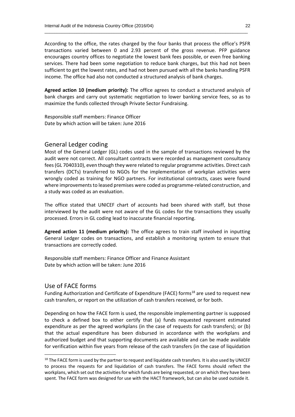According to the office, the rates charged by the four banks that process the office's PSFR transactions varied between 0 and 2.93 percent of the gross revenue. PFP guidance encourages country offices to negotiate the lowest bank fees possible, or even free banking services. There had been some negotiation to reduce bank charges, but this had not been sufficient to get the lowest rates, and had not been pursued with all the banks handling PSFR income. The office had also not conducted a structured analysis of bank charges.

 $\_$  , and the set of the set of the set of the set of the set of the set of the set of the set of the set of the set of the set of the set of the set of the set of the set of the set of the set of the set of the set of th

**Agreed action 10 (medium priority):** The office agrees to conduct a structured analysis of bank charges and carry out systematic negotiation to lower banking service fees, so as to maximize the funds collected through Private Sector Fundraising.

Responsible staff members: Finance Officer Date by which action will be taken: June 2016

### General Ledger coding

Most of the General Ledger (GL) codes used in the sample of transactions reviewed by the audit were not correct. All consultant contracts were recorded as management consultancy fees (GL 7040310), even though they were related to regular programme activities. Direct cash transfers (DCTs) transferred to NGOs for the implementation of workplan activities were wrongly coded as training for NGO partners. For institutional contracts, cases were found where improvements to leased premises were coded as programme-related construction, and a study was coded as an evaluation.

The office stated that UNICEF chart of accounts had been shared with staff, but those interviewed by the audit were not aware of the GL codes for the transactions they usually processed. Errors in GL coding lead to inaccurate financial reporting.

**Agreed action 11 (medium priority):** The office agrees to train staff involved in inputting General Ledger codes on transactions, and establish a monitoring system to ensure that transactions are correctly coded.

Responsible staff members: Finance Officer and Finance Assistant Date by which action will be taken: June 2016

### Use of FACE forms

1

Funding Authorization and Certificate of Expenditure (FACE) forms<sup>18</sup> are used to request new cash transfers, or report on the utilization of cash transfers received, or for both.

Depending on how the FACE form is used, the responsible implementing partner is supposed to check a defined box to either certify that (a) funds requested represent estimated expenditure as per the agreed workplans (in the case of requests for cash transfers); or (b) that the actual expenditure has been disbursed in accordance with the workplans and authorized budget and that supporting documents are available and can be made available for verification within five years from release of the cash transfers (in the case of liquidation

<sup>&</sup>lt;sup>18</sup> The FACE form is used by the partner to request and liquidate cash transfers. It is also used by UNICEF to process the requests for and liquidation of cash transfers. The FACE forms should reflect the workplans, which set out the activities for which funds are being requested, or on which they have been spent. The FACE form was designed for use with the HACT framework, but can also be used outside it.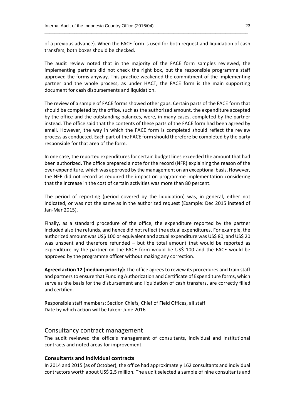of a previous advance). When the FACE form is used for both request and liquidation of cash transfers, both boxes should be checked.

 $\_$  , and the set of the set of the set of the set of the set of the set of the set of the set of the set of the set of the set of the set of the set of the set of the set of the set of the set of the set of the set of th

The audit review noted that in the majority of the FACE form samples reviewed, the implementing partners did not check the right box, but the responsible programme staff approved the forms anyway. This practice weakened the commitment of the implementing partner and the whole process, as under HACT, the FACE form is the main supporting document for cash disbursements and liquidation.

The review of a sample of FACE forms showed other gaps. Certain parts of the FACE form that should be completed by the office, such as the authorized amount, the expenditure accepted by the office and the outstanding balances, were, in many cases, completed by the partner instead. The office said that the contents of these parts of the FACE form had been agreed by email. However, the way in which the FACE form is completed should reflect the review process as conducted. Each part of the FACE form should therefore be completed by the party responsible for that area of the form.

In one case, the reported expenditures for certain budget lines exceeded the amount that had been authorized. The office prepared a note for the record (NFR) explaining the reason of the over-expenditure, which was approved by the management on an exceptional basis. However, the NFR did not record as required the impact on programme implementation considering that the increase in the cost of certain activities was more than 80 percent.

The period of reporting (period covered by the liquidation) was, in general, either not indicated, or was not the same as in the authorized request (Example: Dec 2015 instead of Jan-Mar 2015).

Finally, as a standard procedure of the office, the expenditure reported by the partner included also the refunds, and hence did not reflect the actual expenditures. For example, the authorized amount was US\$ 100 or equivalent and actual expenditure was US\$ 80, and US\$ 20 was unspent and therefore refunded – but the total amount that would be reported as expenditure by the partner on the FACE form would be US\$ 100 and the FACE would be approved by the programme officer without making any correction.

**Agreed action 12 (medium priority):** The office agrees to review its procedures and train staff and partners to ensure that Funding Authorization and Certificate of Expenditure forms, which serve as the basis for the disbursement and liquidation of cash transfers, are correctly filled and certified.

Responsible staff members: Section Chiefs, Chief of Field Offices, all staff Date by which action will be taken: June 2016

### Consultancy contract management

The audit reviewed the office's management of consultants, individual and institutional contracts and noted areas for improvement.

### **Consultants and individual contracts**

In 2014 and 2015 (as of October), the office had approximately 162 consultants and individual contractors worth about US\$ 2.5 million. The audit selected a sample of nine consultants and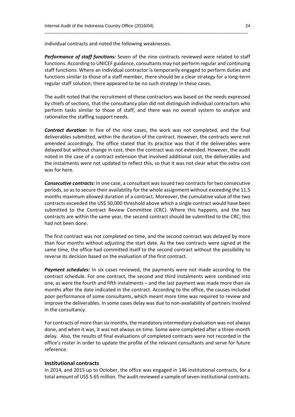individual contracts and noted the following weaknesses.

*Performance of staff functions:* Seven of the nine contracts reviewed were related to staff functions. According to UNICEF guidance, consultants may not perform regular and continuing staff functions. Where an individual contractor is temporarily engaged to perform duties and functions similar to those of a staff member, there should be a clear strategy for a long-term regular staff solution; there appeared to be no such strategy in these cases.

 $\_$  , and the set of the set of the set of the set of the set of the set of the set of the set of the set of the set of the set of the set of the set of the set of the set of the set of the set of the set of the set of th

The audit noted that the recruitment of these contractors was based on the needs expressed by chiefs of sections, that the consultancy plan did not distinguish individual contractors who perform tasks similar to those of staff, and there was no overall system to analyze and rationalize the staffing support needs.

*Contract duration:* In five of the nine cases, the work was not completed, and the final deliverables submitted, within the duration of the contract. However, the contracts were not amended accordingly. The office stated that its practice was that if the deliverables were delayed but without change in cost, then the contract was not extended. However, the audit noted in the case of a contract extension that involved additional cost, the deliverables and the instalments were not updated to reflect this, so that it was not clear what the extra cost was for here.

**Consecutive contracts:** In one case, a consultant was issued two contracts for two consecutive periods, so as to secure their availability for the whole assignment without exceeding the 11.5 months maximum allowed duration of a contract. Moreover, the cumulative value of the two contracts exceeded the US\$ 50,000 threshold above which a single contract would have been submitted to the Contract Review Committee (CRC). Where this happens, and the two contracts are within the same year, the second contract should be submitted to the CRC; this had not been done.

The first contract was not completed on time, and the second contract was delayed by more than four months without adjusting the start date. As the two contracts were signed at the same time, the office had committed itself to the second contract without the possibility to reverse its decision based on the evaluation of the first contract.

*Payment schedules:* In six cases reviewed, the payments were not made according to the contract schedule. For one contract, the second and third instalments were combined into one, as were the fourth and fifth instalments – and the last payment was made more than six months after the date indicated in the contract. According to the office, the causes included poor performance of some consultants, which meant more time was required to review and improve the deliverables. In some cases delay was due to non-availability of partners involved in the consultancy.

For contracts of more than six months, the mandatory intermediary evaluation was not always done, and when it was, it was not always on time. Some were completed after a three-month delay. Also, the results of final evaluations of completed contracts were not recorded in the office's roster in order to update the profile of the relevant consultants and serve for future reference.

#### **Institutional contracts**

In 2014, and 2015 up to October, the office was engaged in 146 institutional contracts, for a total amount of US\$ 5.65 million. The audit reviewed a sample of seven institutional contracts.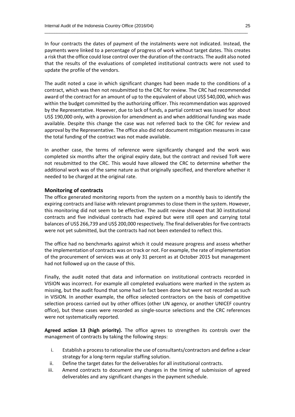In four contracts the dates of payment of the instalments were not indicated. Instead, the payments were linked to a percentage of progress of work without target dates. This creates a risk that the office could lose control over the duration of the contracts. The audit also noted that the results of the evaluations of completed institutional contracts were not used to update the profile of the vendors.

 $\_$  , and the set of the set of the set of the set of the set of the set of the set of the set of the set of the set of the set of the set of the set of the set of the set of the set of the set of the set of the set of th

The audit noted a case in which significant changes had been made to the conditions of a contract, which was then not resubmitted to the CRC for review. The CRC had recommended award of the contract for an amount of up to the equivalent of about US\$ 540,000, which was within the budget committed by the authorizing officer. This recommendation was approved by the Representative. However, due to lack of funds, a partial contract was issued for about US\$ 190,000 only, with a provision for amendment as and when additional funding was made available. Despite this change the case was not referred back to the CRC for review and approval by the Representative. The office also did not document mitigation measures in case the total funding of the contract was not made available.

In another case, the terms of reference were significantly changed and the work was completed six months after the original expiry date, but the contract and revised ToR were not resubmitted to the CRC. This would have allowed the CRC to determine whether the additional work was of the same nature as that originally specified, and therefore whether it needed to be charged at the original rate.

#### **Monitoring of contracts**

The office generated monitoring reports from the system on a monthly basis to identify the expiring contracts and liaise with relevant programmes to close them in the system. However, this monitoring did not seem to be effective. The audit review showed that 30 institutional contracts and five individual contracts had expired but were still open and carrying total balances of US\$ 266,739 and US\$ 200,000 respectively. The final deliverables for five contracts were not yet submitted, but the contracts had not been extended to reflect this.

The office had no benchmarks against which it could measure progress and assess whether the implementation of contracts was on track or not. For example, the rate of implementation of the procurement of services was at only 31 percent as at October 2015 but management had not followed up on the cause of this.

Finally, the audit noted that data and information on institutional contracts recorded in VISION was incorrect. For example all completed evaluations were marked in the system as missing, but the audit found that some had in fact been done but were not recorded as such in VISION. In another example, the office selected contractors on the basis of competitive selection process carried out by other offices (other UN agency, or another UNICEF country office), but these cases were recorded as single-source selections and the CRC references were not systematically reported.

**Agreed action 13 (high priority).** The office agrees to strengthen its controls over the management of contracts by taking the following steps:

- i. Establish a process to rationalize the use of consultants/contractors and define a clear strategy for a long‐term regular staffing solution.
- ii. Define the target dates for the deliverables for all institutional contracts.
- iii. Amend contracts to document any changes in the timing of submission of agreed deliverables and any significant changes in the payment schedule.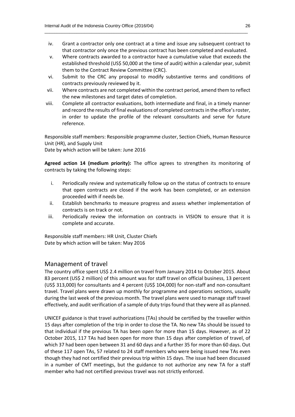iv. Grant a contractor only one contract at a time and issue any subsequent contract to that contractor only once the previous contract has been completed and evaluated.

 $\_$  , and the set of the set of the set of the set of the set of the set of the set of the set of the set of the set of the set of the set of the set of the set of the set of the set of the set of the set of the set of th

- v. Where contracts awarded to a contractor have a cumulative value that exceeds the established threshold (US\$ 50,000 at the time of audit) within a calendar year, submit them to the Contract Review Committee (CRC).
- vi. Submit to the CRC any proposal to modify substantive terms and conditions of contracts previously reviewed by it.
- vii. Where contracts are not completed within the contract period, amend them to reflect the new milestones and target dates of completion.
- viii. Complete all contractor evaluations, both intermediate and final, in a timely manner and record the results of final evaluations of completed contractsin the office's roster, in order to update the profile of the relevant consultants and serve for future reference.

Responsible staff members: Responsible programme cluster, Section Chiefs, Human Resource Unit (HR), and Supply Unit

Date by which action will be taken: June 2016

**Agreed action 14 (medium priority):** The office agrees to strengthen its monitoring of contracts by taking the following steps:

- i. Periodically review and systematically follow up on the status of contracts to ensure that open contracts are closed if the work has been completed, or an extension proceeded with if needs be.
- ii. Establish benchmarks to measure progress and assess whether implementation of contracts is on track or not.
- iii. Periodically review the information on contracts in VISION to ensure that it is complete and accurate.

Responsible staff members: HR Unit, Cluster Chiefs Date by which action will be taken: May 2016

### Management of travel

The country office spent US\$ 2.4 million on travel from January 2014 to October 2015. About 83 percent (US\$ 2 million) of this amount was for staff travel on official business, 13 percent (US\$ 313,000) for consultants and 4 percent (US\$ 104,000) for non-staff and non-consultant travel. Travel plans were drawn up monthly for programme and operations sections, usually during the last week of the previous month. The travel plans were used to manage staff travel effectively, and audit verification of a sample of duty trips found that they were all as planned.

UNICEF guidance is that travel authorizations (TAs) should be certified by the traveller within 15 days after completion of the trip in order to close the TA. No new TAs should be issued to that individual if the previous TA has been open for more than 15 days. However, as of 22 October 2015, 117 TAs had been open for more than 15 days after completion of travel, of which 37 had been open between 31 and 60 days and a further 35 for more than 60 days. Out of these 117 open TAs, 57 related to 24 staff members who were being issued new TAs even though they had not certified their previous trip within 15 days. The issue had been discussed in a number of CMT meetings, but the guidance to not authorize any new TA for a staff member who had not certified previous travel was not strictly enforced.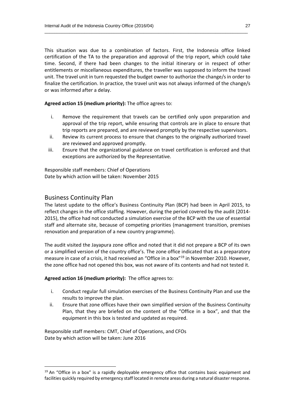This situation was due to a combination of factors. First, the Indonesia office linked certification of the TA to the preparation and approval of the trip report, which could take time. Second, if there had been changes to the initial itinerary or in respect of other entitlements or miscellaneous expenditures, the traveller was supposed to inform the travel unit. The travel unit in turn requested the budget owner to authorize the change/s in order to finalize the certification. In practice, the travel unit was not always informed of the change/s or was informed after a delay.

 $\_$  , and the set of the set of the set of the set of the set of the set of the set of the set of the set of the set of the set of the set of the set of the set of the set of the set of the set of the set of the set of th

**Agreed action 15 (medium priority):** The office agrees to:

- i. Remove the requirement that travels can be certified only upon preparation and approval of the trip report, while ensuring that controls are in place to ensure that trip reports are prepared, and are reviewed promptly by the respective supervisors.
- ii. Review its current process to ensure that changes to the originally authorized travel are reviewed and approved promptly.
- iii. Ensure that the organizational guidance on travel certification is enforced and that exceptions are authorized by the Representative.

Responsible staff members: Chief of Operations Date by which action will be taken: November 2015

### Business Continuity Plan

 $\overline{\phantom{a}}$ 

The latest update to the office's Business Continuity Plan (BCP) had been in April 2015, to reflect changes in the office staffing. However, during the period covered by the audit (2014- 2015), the office had not conducted a simulation exercise of the BCP with the use of essential staff and alternate site, because of competing priorities (management transition, premises renovation and preparation of a new country programme).

The audit visited the Jayapura zone office and noted that it did not prepare a BCP of its own or a simplified version of the country office's. The zone office indicated that as a preparatory measure in case of a crisis, it had received an "Office in a box"<sup>19</sup> in November 2010. However, the zone office had not opened this box, was not aware of its contents and had not tested it.

**Agreed action 16 (medium priority):** The office agrees to:

- i. Conduct regular full simulation exercises of the Business Continuity Plan and use the results to improve the plan.
- ii. Ensure that zone offices have their own simplified version of the Business Continuity Plan, that they are briefed on the content of the "Office in a box", and that the equipment in this box is tested and updated as required.

Responsible staff members: CMT, Chief of Operations, and CFOs Date by which action will be taken: June 2016

 $19$  An "Office in a box" is a rapidly deployable emergency office that contains basic equipment and facilities quickly required by emergency staff located in remote areas during a natural disaster response.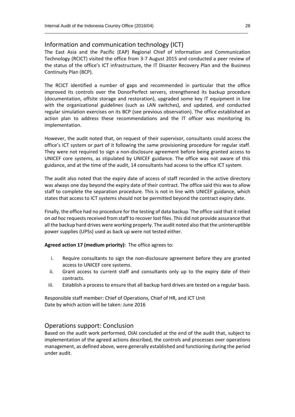### Information and communication technology (ICT)

The East Asia and the Pacific (EAP) Regional Chief of Information and Communication Technology (RCICT) visited the office from 3-7 August 2015 and conducted a peer review of the status of the office's ICT infrastructure, the IT Disaster Recovery Plan and the Business Continuity Plan (BCP).

 $\_$  , and the set of the set of the set of the set of the set of the set of the set of the set of the set of the set of the set of the set of the set of the set of the set of the set of the set of the set of the set of th

The RCICT identified a number of gaps and recommended in particular that the office improved its controls over the DonorPerfect servers, strengthened its backup procedure (documentation, offsite storage and restoration), upgraded some key IT equipment in line with the organizational guidelines (such as LAN switches), and updated, and conducted regular simulation exercises on its BCP (see previous observation). The office established an action plan to address these recommendations and the IT officer was monitoring its implementation.

However, the audit noted that, on request of their supervisor, consultants could access the office's ICT system or part of it following the same provisioning procedure for regular staff. They were not required to sign a non-disclosure agreement before being granted access to UNICEF core systems, as stipulated by UNICEF guidance. The office was not aware of this guidance, and at the time of the audit, 14 consultants had access to the office ICT system.

The audit also noted that the expiry date of access of staff recorded in the active directory was always one day beyond the expiry date of their contract. The office said this was to allow staff to complete the separation procedure. This is not in line with UNICEF guidance, which states that access to ICT systems should not be permitted beyond the contract expiry date.

Finally, the office had no procedure for the testing of data backup. The office said that it relied on *ad hoc* requests received from staff to recover lost files. This did not provide assurance that all the backup hard drives were working properly. The audit noted also that the uninteruptible power supplies (UPSs) used as back up were not tested either.

**Agreed action 17 (medium priority):** The office agrees to:

- i. Require consultants to sign the non-disclosure agreement before they are granted access to UNICEF core systems.
- ii. Grant access to current staff and consultants only up to the expiry date of their contracts.
- iii. Establish a process to ensure that all backup hard drives are tested on a regular basis.

Responsible staff member: Chief of Operations, Chief of HR, and ICT Unit Date by which action will be taken: June 2016

### Operations support: Conclusion

Based on the audit work performed, OIAI concluded at the end of the audit that, subject to implementation of the agreed actions described, the controls and processes over operations management, as defined above, were generally established and functioning during the period under audit.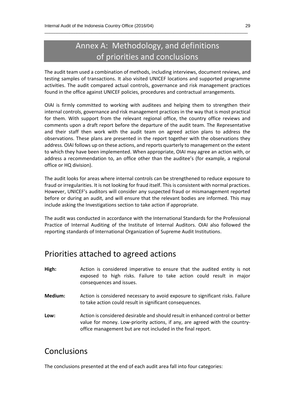### Annex A: Methodology, and definitions of priorities and conclusions

 $\_$  , and the set of the set of the set of the set of the set of the set of the set of the set of the set of the set of the set of the set of the set of the set of the set of the set of the set of the set of the set of th

The audit team used a combination of methods, including interviews, document reviews, and testing samples of transactions. It also visited UNICEF locations and supported programme activities. The audit compared actual controls, governance and risk management practices found in the office against UNICEF policies, procedures and contractual arrangements.

OIAI is firmly committed to working with auditees and helping them to strengthen their internal controls, governance and risk management practices in the way that is most practical for them. With support from the relevant regional office, the country office reviews and comments upon a draft report before the departure of the audit team. The Representative and their staff then work with the audit team on agreed action plans to address the observations. These plans are presented in the report together with the observations they address. OIAI follows up on these actions, and reports quarterly to management on the extent to which they have been implemented. When appropriate, OIAI may agree an action with, or address a recommendation to, an office other than the auditee's (for example, a regional office or HQ division).

The audit looks for areas where internal controls can be strengthened to reduce exposure to fraud or irregularities. It is not looking for fraud itself. This is consistent with normal practices. However, UNICEF's auditors will consider any suspected fraud or mismanagement reported before or during an audit, and will ensure that the relevant bodies are informed. This may include asking the Investigations section to take action if appropriate.

The audit was conducted in accordance with the International Standards for the Professional Practice of Internal Auditing of the Institute of Internal Auditors. OIAI also followed the reporting standards of International Organization of Supreme Audit Institutions.

### Priorities attached to agreed actions

| High:   | Action is considered imperative to ensure that the audited entity is not<br>exposed to high risks. Failure to take action could result in major<br>consequences and issues. |
|---------|-----------------------------------------------------------------------------------------------------------------------------------------------------------------------------|
| Medium: | Action is considered necessary to avoid exposure to significant risks. Failure<br>to take action could result in significant consequences.                                  |

**Low:** Action is considered desirable and should result in enhanced control or better value for money. Low-priority actions, if any, are agreed with the countryoffice management but are not included in the final report.

### Conclusions

The conclusions presented at the end of each audit area fall into four categories: